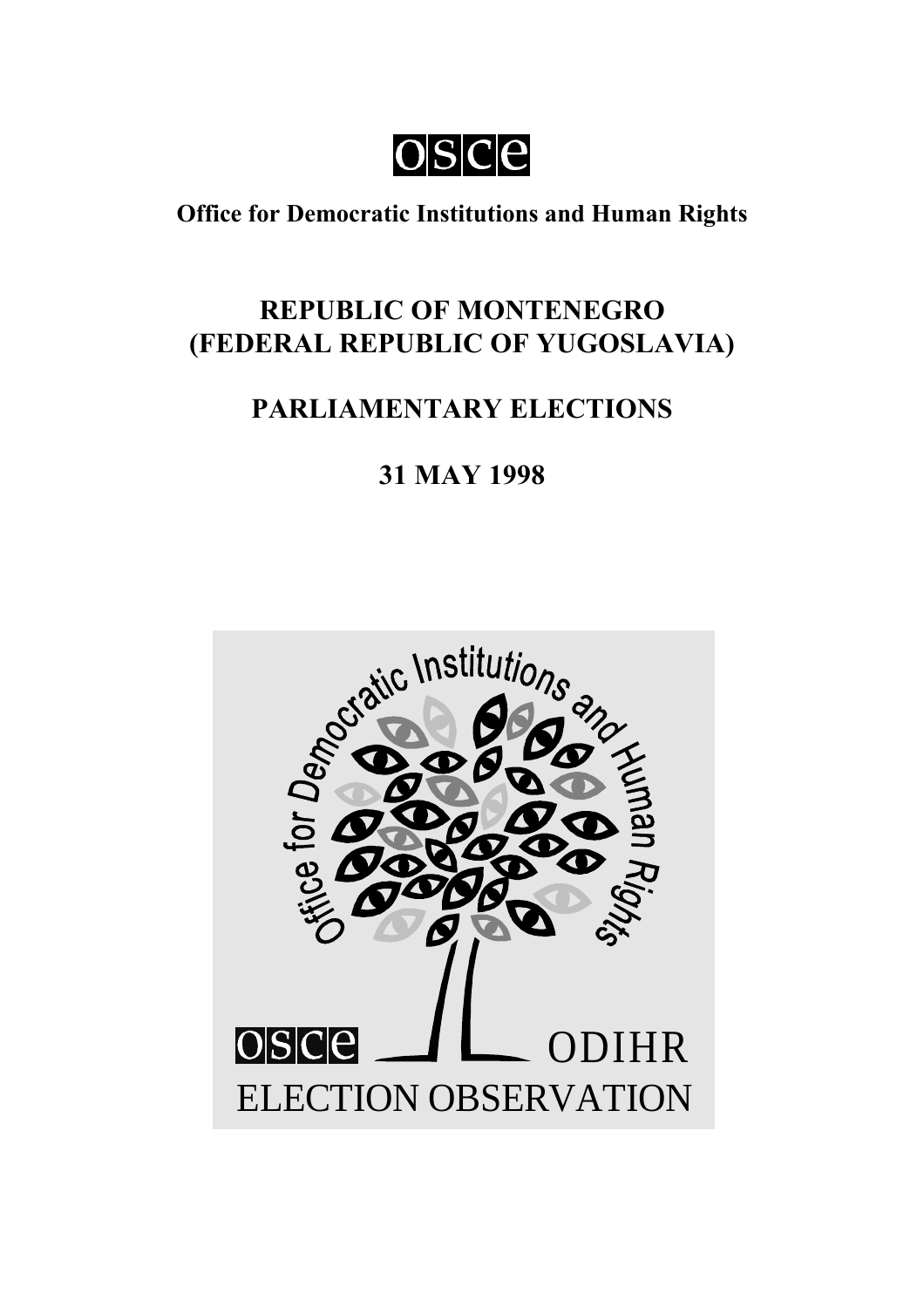osce

**Office for Democratic Institutions and Human Rights**

# **REPUBLIC OF MONTENEGRO (FEDERAL REPUBLIC OF YUGOSLAVIA)**

# **PARLIAMENTARY ELECTIONS**

# **31 MAY 1998**

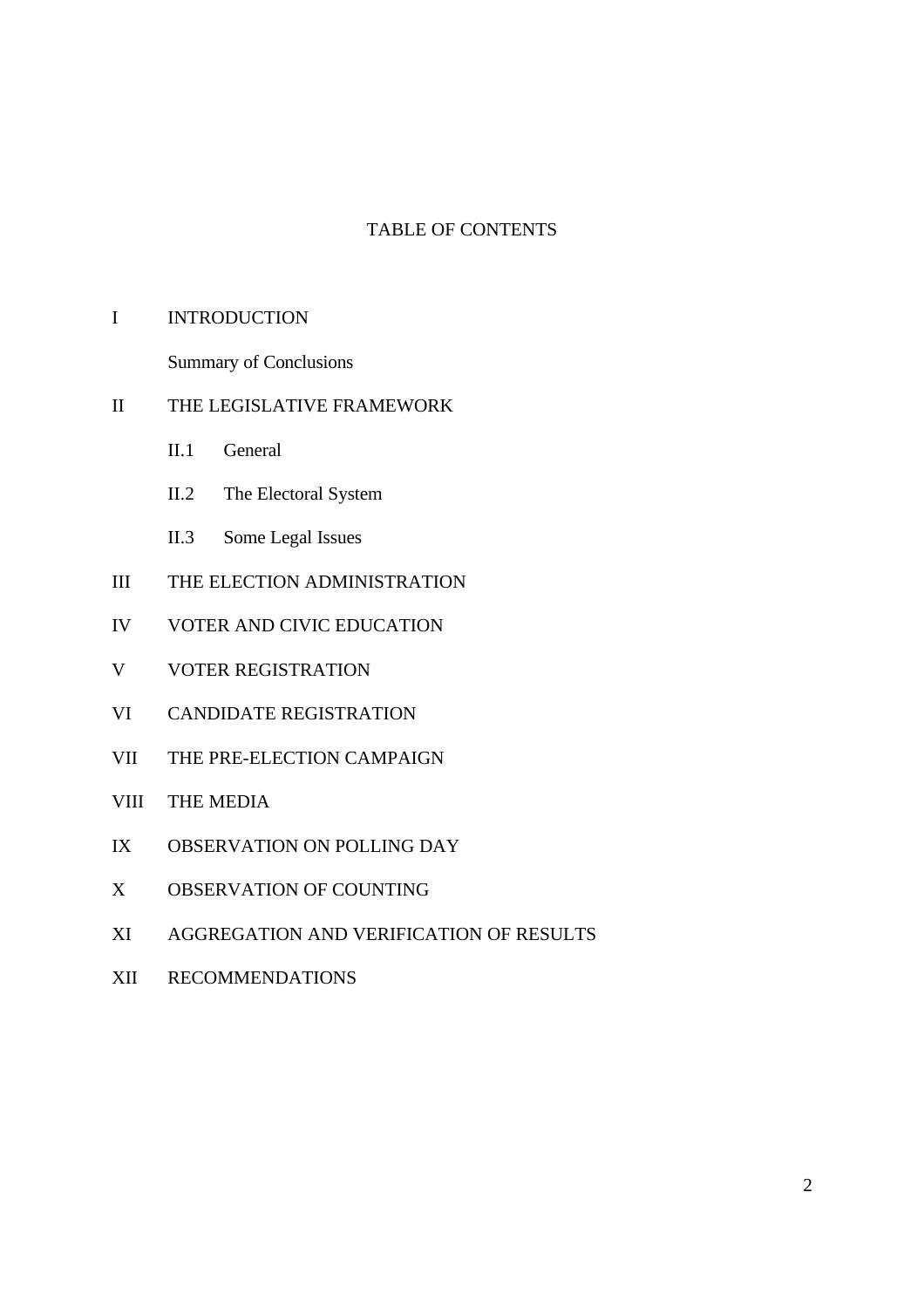## TABLE OF CONTENTS

#### I INTRODUCTION

Summary of Conclusions

#### II THE LEGISLATIVE FRAMEWORK

- II.1 General
- II.2 The Electoral System
- II.3 Some Legal Issues
- III THE ELECTION ADMINISTRATION
- IV VOTER AND CIVIC EDUCATION
- V VOTER REGISTRATION
- VI CANDIDATE REGISTRATION
- VII THE PRE-ELECTION CAMPAIGN
- VIII THE MEDIA
- IX OBSERVATION ON POLLING DAY
- X OBSERVATION OF COUNTING
- XI AGGREGATION AND VERIFICATION OF RESULTS
- XII RECOMMENDATIONS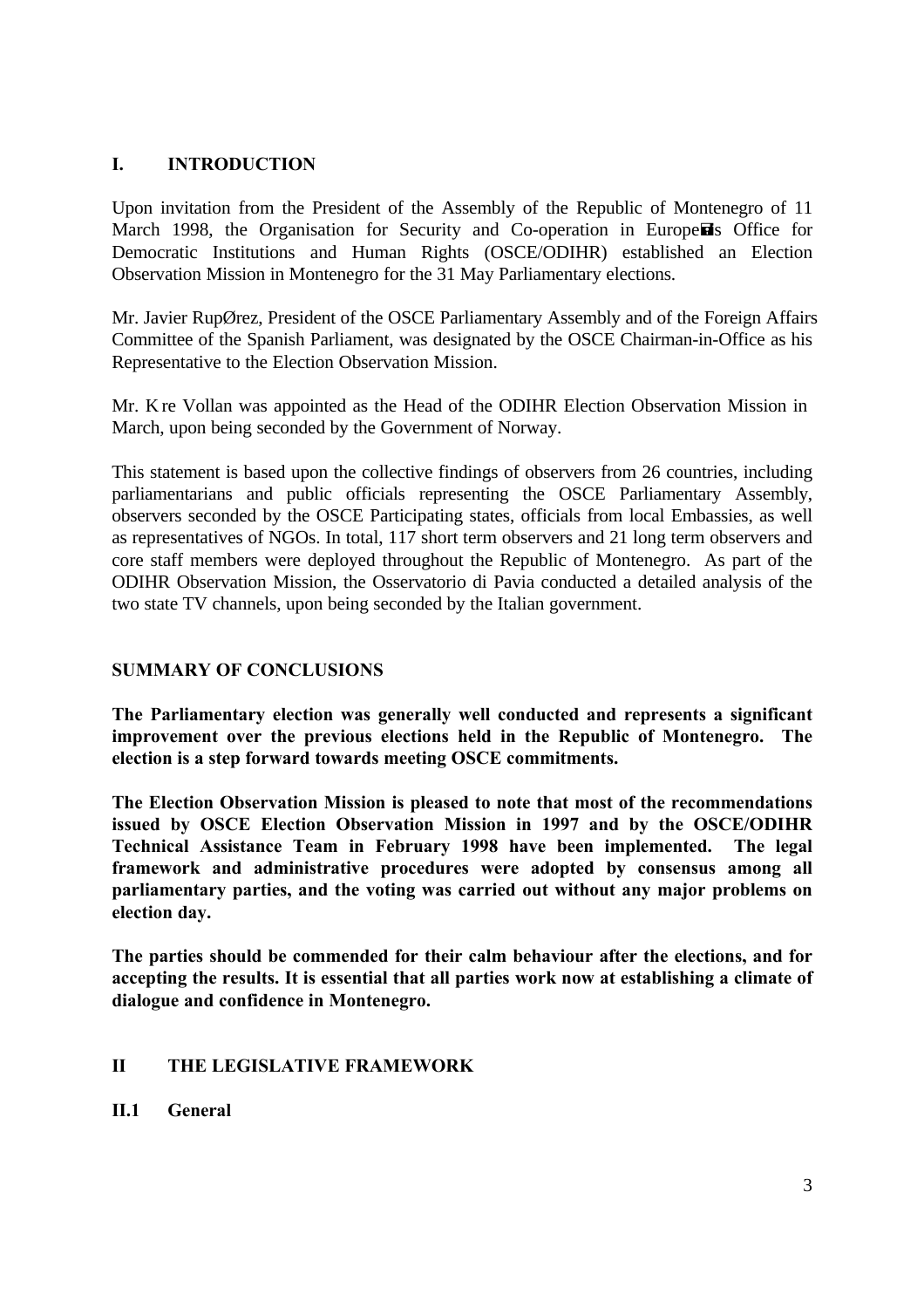## **I. INTRODUCTION**

Upon invitation from the President of the Assembly of the Republic of Montenegro of 11 March 1998, the Organisation for Security and Co-operation in Europe is Office for Democratic Institutions and Human Rights (OSCE/ODIHR) established an Election Observation Mission in Montenegro for the 31 May Parliamentary elections.

Mr. Javier RupØrez, President of the OSCE Parliamentary Assembly and of the Foreign Affairs Committee of the Spanish Parliament, was designated by the OSCE Chairman-in-Office as his Representative to the Election Observation Mission.

Mr. Kåre Vollan was appointed as the Head of the ODIHR Election Observation Mission in March, upon being seconded by the Government of Norway.

This statement is based upon the collective findings of observers from 26 countries, including parliamentarians and public officials representing the OSCE Parliamentary Assembly, observers seconded by the OSCE Participating states, officials from local Embassies, as well as representatives of NGOs. In total, 117 short term observers and 21 long term observers and core staff members were deployed throughout the Republic of Montenegro. As part of the ODIHR Observation Mission, the Osservatorio di Pavia conducted a detailed analysis of the two state TV channels, upon being seconded by the Italian government.

## **SUMMARY OF CONCLUSIONS**

**The Parliamentary election was generally well conducted and represents a significant improvement over the previous elections held in the Republic of Montenegro. The election is a step forward towards meeting OSCE commitments.**

**The Election Observation Mission is pleased to note that most of the recommendations issued by OSCE Election Observation Mission in 1997 and by the OSCE/ODIHR Technical Assistance Team in February 1998 have been implemented. The legal framework and administrative procedures were adopted by consensus among all parliamentary parties, and the voting was carried out without any major problems on election day.**

**The parties should be commended for their calm behaviour after the elections, and for accepting the results. It is essential that all parties work now at establishing a climate of dialogue and confidence in Montenegro.**

## **II THE LEGISLATIVE FRAMEWORK**

**II.1 General**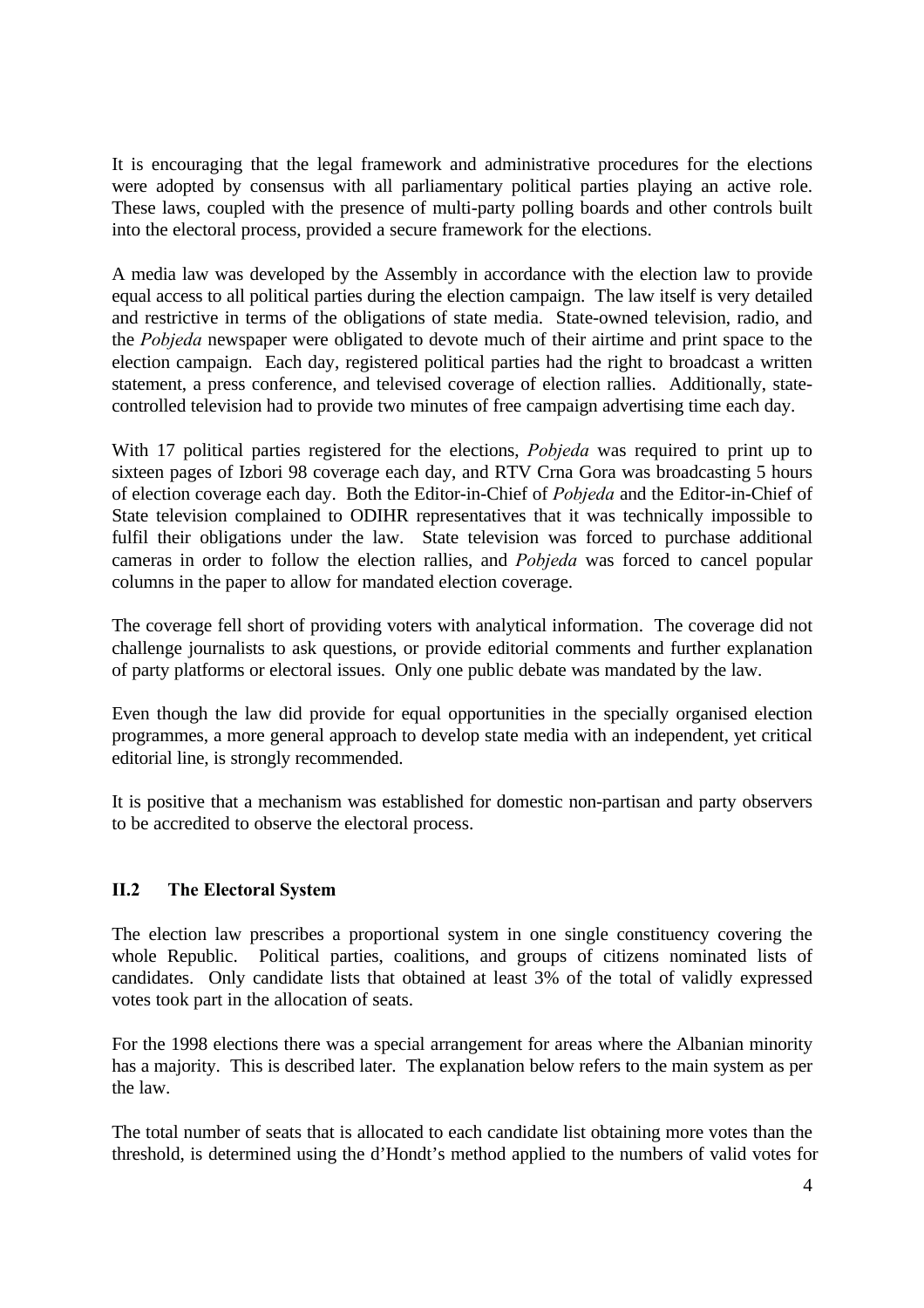It is encouraging that the legal framework and administrative procedures for the elections were adopted by consensus with all parliamentary political parties playing an active role. These laws, coupled with the presence of multi-party polling boards and other controls built into the electoral process, provided a secure framework for the elections.

A media law was developed by the Assembly in accordance with the election law to provide equal access to all political parties during the election campaign. The law itself is very detailed and restrictive in terms of the obligations of state media. State-owned television, radio, and the *Pobjeda* newspaper were obligated to devote much of their airtime and print space to the election campaign. Each day, registered political parties had the right to broadcast a written statement, a press conference, and televised coverage of election rallies. Additionally, statecontrolled television had to provide two minutes of free campaign advertising time each day.

With 17 political parties registered for the elections, *Pobjeda* was required to print up to sixteen pages of Izbori 98 coverage each day, and RTV Crna Gora was broadcasting 5 hours of election coverage each day. Both the Editor-in-Chief of *Pobjeda* and the Editor-in-Chief of State television complained to ODIHR representatives that it was technically impossible to fulfil their obligations under the law. State television was forced to purchase additional cameras in order to follow the election rallies, and *Pobjeda* was forced to cancel popular columns in the paper to allow for mandated election coverage.

The coverage fell short of providing voters with analytical information. The coverage did not challenge journalists to ask questions, or provide editorial comments and further explanation of party platforms or electoral issues. Only one public debate was mandated by the law.

Even though the law did provide for equal opportunities in the specially organised election programmes, a more general approach to develop state media with an independent, yet critical editorial line, is strongly recommended.

It is positive that a mechanism was established for domestic non-partisan and party observers to be accredited to observe the electoral process.

# **II.2 The Electoral System**

The election law prescribes a proportional system in one single constituency covering the whole Republic. Political parties, coalitions, and groups of citizens nominated lists of candidates. Only candidate lists that obtained at least 3% of the total of validly expressed votes took part in the allocation of seats.

For the 1998 elections there was a special arrangement for areas where the Albanian minority has a majority. This is described later. The explanation below refers to the main system as per the law.

The total number of seats that is allocated to each candidate list obtaining more votes than the threshold, is determined using the d'Hondt's method applied to the numbers of valid votes for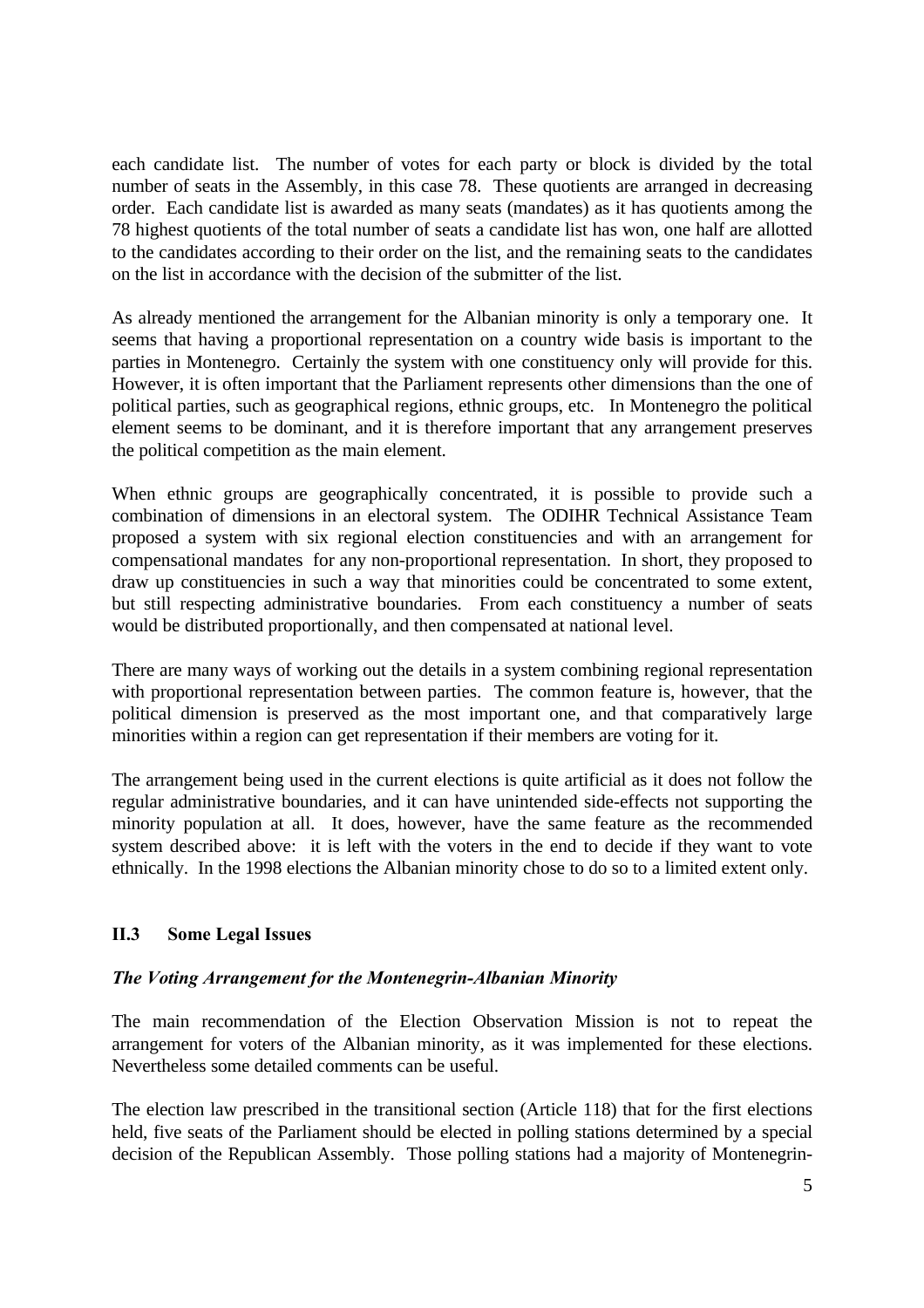each candidate list. The number of votes for each party or block is divided by the total number of seats in the Assembly, in this case 78. These quotients are arranged in decreasing order. Each candidate list is awarded as many seats (mandates) as it has quotients among the 78 highest quotients of the total number of seats a candidate list has won, one half are allotted to the candidates according to their order on the list, and the remaining seats to the candidates on the list in accordance with the decision of the submitter of the list.

As already mentioned the arrangement for the Albanian minority is only a temporary one. It seems that having a proportional representation on a country wide basis is important to the parties in Montenegro. Certainly the system with one constituency only will provide for this. However, it is often important that the Parliament represents other dimensions than the one of political parties, such as geographical regions, ethnic groups, etc. In Montenegro the political element seems to be dominant, and it is therefore important that any arrangement preserves the political competition as the main element.

When ethnic groups are geographically concentrated, it is possible to provide such a combination of dimensions in an electoral system. The ODIHR Technical Assistance Team proposed a system with six regional election constituencies and with an arrangement for compensational mandates for any non-proportional representation. In short, they proposed to draw up constituencies in such a way that minorities could be concentrated to some extent, but still respecting administrative boundaries. From each constituency a number of seats would be distributed proportionally, and then compensated at national level.

There are many ways of working out the details in a system combining regional representation with proportional representation between parties. The common feature is, however, that the political dimension is preserved as the most important one, and that comparatively large minorities within a region can get representation if their members are voting for it.

The arrangement being used in the current elections is quite artificial as it does not follow the regular administrative boundaries, and it can have unintended side-effects not supporting the minority population at all. It does, however, have the same feature as the recommended system described above: it is left with the voters in the end to decide if they want to vote ethnically. In the 1998 elections the Albanian minority chose to do so to a limited extent only.

## **II.3 Some Legal Issues**

## *The Voting Arrangement for the Montenegrin-Albanian Minority*

The main recommendation of the Election Observation Mission is not to repeat the arrangement for voters of the Albanian minority, as it was implemented for these elections. Nevertheless some detailed comments can be useful.

The election law prescribed in the transitional section (Article 118) that for the first elections held, five seats of the Parliament should be elected in polling stations determined by a special decision of the Republican Assembly. Those polling stations had a majority of Montenegrin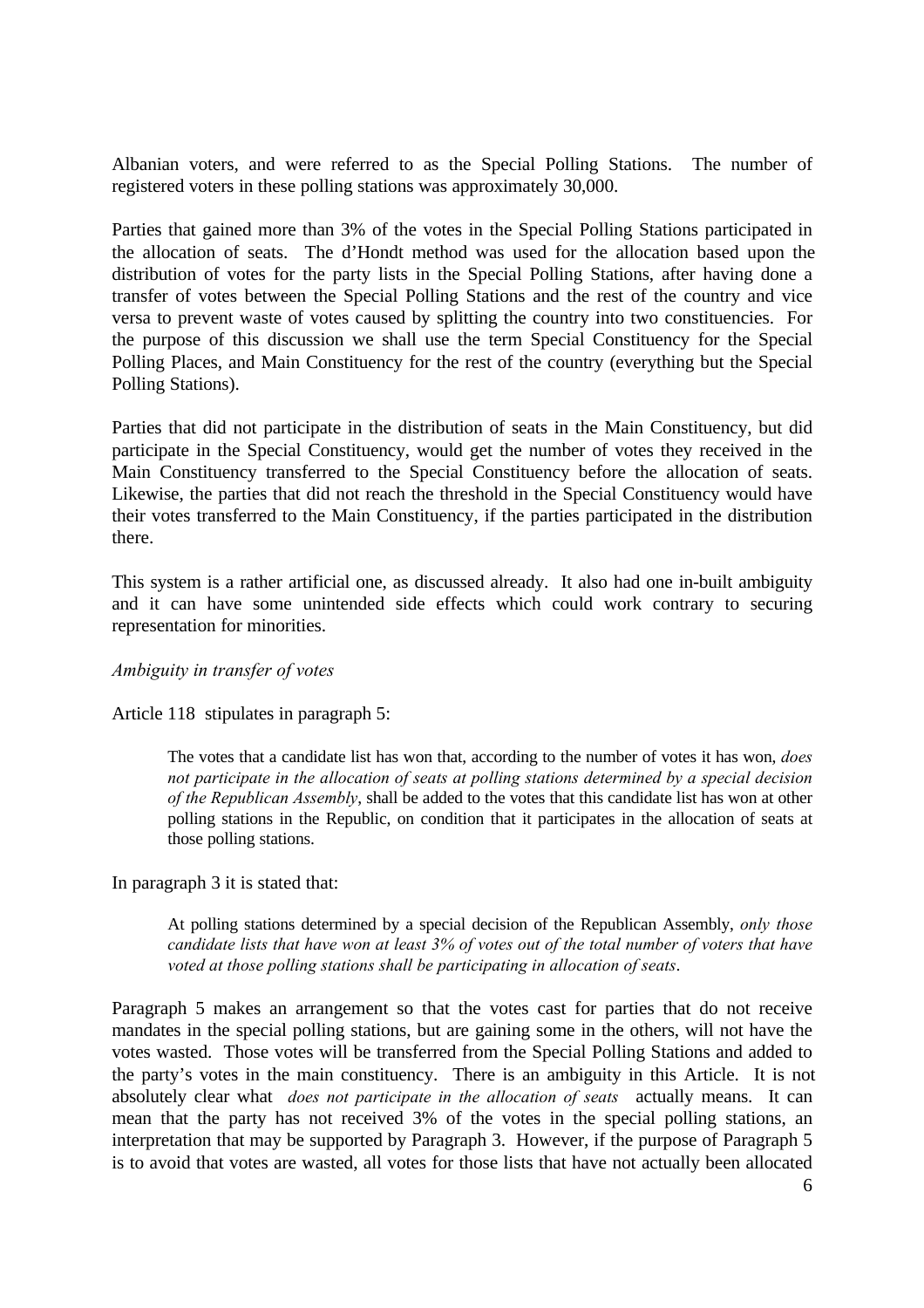Albanian voters, and were referred to as the Special Polling Stations. The number of registered voters in these polling stations was approximately 30,000.

Parties that gained more than 3% of the votes in the Special Polling Stations participated in the allocation of seats. The d'Hondt method was used for the allocation based upon the distribution of votes for the party lists in the Special Polling Stations, after having done a transfer of votes between the Special Polling Stations and the rest of the country and vice versa to prevent waste of votes caused by splitting the country into two constituencies. For the purpose of this discussion we shall use the term Special Constituency for the Special Polling Places, and Main Constituency for the rest of the country (everything but the Special Polling Stations).

Parties that did not participate in the distribution of seats in the Main Constituency, but did participate in the Special Constituency, would get the number of votes they received in the Main Constituency transferred to the Special Constituency before the allocation of seats. Likewise, the parties that did not reach the threshold in the Special Constituency would have their votes transferred to the Main Constituency, if the parties participated in the distribution there.

This system is a rather artificial one, as discussed already. It also had one in-built ambiguity and it can have some unintended side effects which could work contrary to securing representation for minorities.

#### *Ambiguity in transfer of votes*

Article 118 stipulates in paragraph 5:

The votes that a candidate list has won that, according to the number of votes it has won, *does not participate in the allocation of seats at polling stations determined by a special decision of the Republican Assembly*, shall be added to the votes that this candidate list has won at other polling stations in the Republic, on condition that it participates in the allocation of seats at those polling stations.

In paragraph 3 it is stated that:

At polling stations determined by a special decision of the Republican Assembly, *only those candidate lists that have won at least 3% of votes out of the total number of voters that have voted at those polling stations shall be participating in allocation of seats*.

Paragraph 5 makes an arrangement so that the votes cast for parties that do not receive mandates in the special polling stations, but are gaining some in the others, will not have the votes wasted. Those votes will be transferred from the Special Polling Stations and added to the party's votes in the main constituency. There is an ambiguity in this Article. It is not absolutely clear what *does not participate in the allocation of seats"* actually means. It can mean that the party has not received 3% of the votes in the special polling stations, an interpretation that may be supported by Paragraph 3. However, if the purpose of Paragraph 5 is to avoid that votes are wasted, all votes for those lists that have not actually been allocated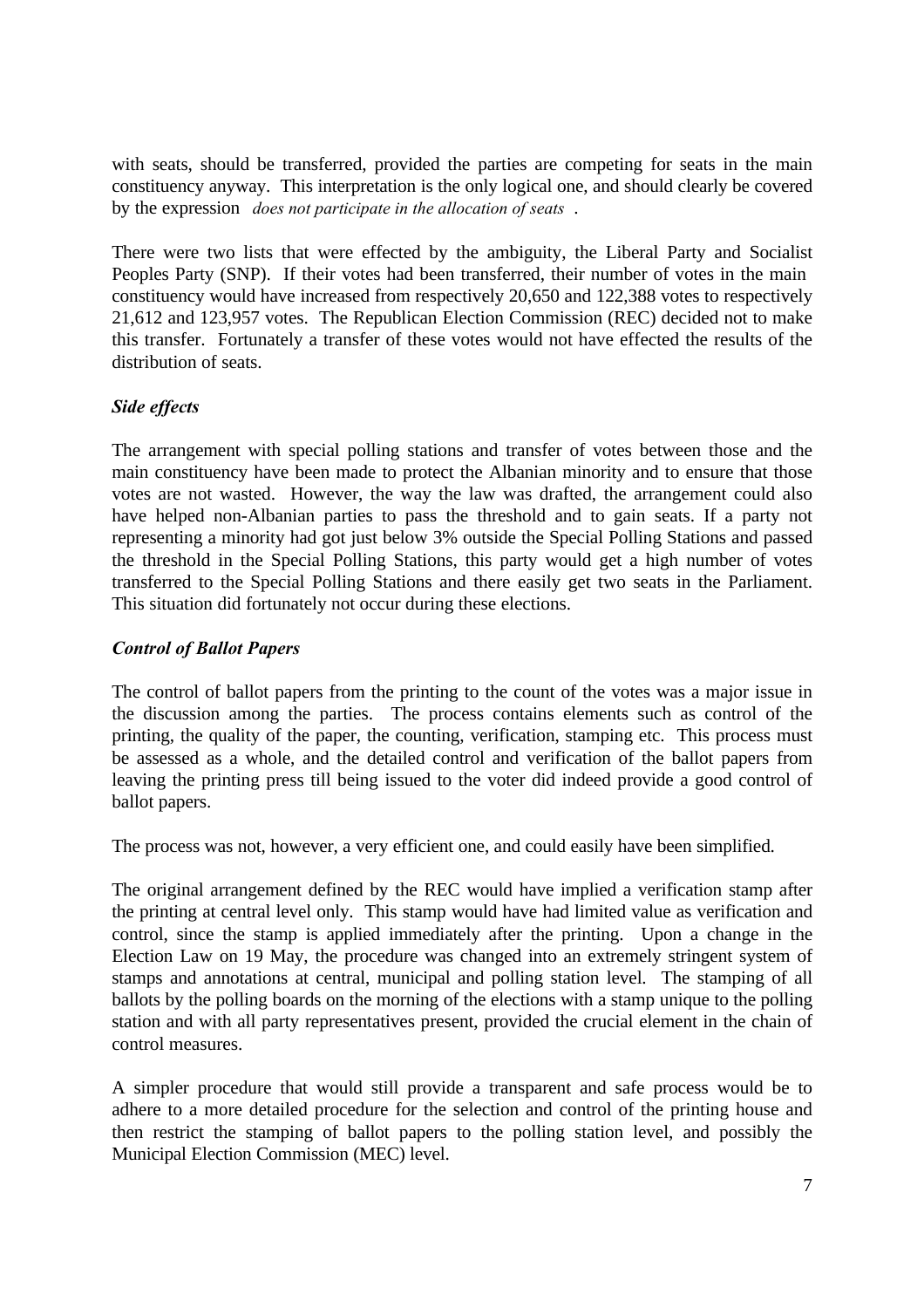with seats, should be transferred, provided the parties are competing for seats in the main constituency anyway. This interpretation is the only logical one, and should clearly be covered by the expression *does not participate in the allocation of seats"*.

There were two lists that were effected by the ambiguity, the Liberal Party and Socialist Peoples Party (SNP). If their votes had been transferred, their number of votes in the main constituency would have increased from respectively 20,650 and 122,388 votes to respectively 21,612 and 123,957 votes. The Republican Election Commission (REC) decided not to make this transfer. Fortunately a transfer of these votes would not have effected the results of the distribution of seats.

## *Side effects*

The arrangement with special polling stations and transfer of votes between those and the main constituency have been made to protect the Albanian minority and to ensure that those votes are not wasted. However, the way the law was drafted, the arrangement could also have helped non-Albanian parties to pass the threshold and to gain seats. If a party not representing a minority had got just below 3% outside the Special Polling Stations and passed the threshold in the Special Polling Stations, this party would get a high number of votes transferred to the Special Polling Stations and there easily get two seats in the Parliament. This situation did fortunately not occur during these elections.

## *Control of Ballot Papers*

The control of ballot papers from the printing to the count of the votes was a major issue in the discussion among the parties. The process contains elements such as control of the printing, the quality of the paper, the counting, verification, stamping etc. This process must be assessed as a whole, and the detailed control and verification of the ballot papers from leaving the printing press till being issued to the voter did indeed provide a good control of ballot papers.

The process was not, however, a very efficient one, and could easily have been simplified.

The original arrangement defined by the REC would have implied a verification stamp after the printing at central level only. This stamp would have had limited value as verification and control, since the stamp is applied immediately after the printing. Upon a change in the Election Law on 19 May, the procedure was changed into an extremely stringent system of stamps and annotations at central, municipal and polling station level. The stamping of all ballots by the polling boards on the morning of the elections with a stamp unique to the polling station and with all party representatives present, provided the crucial element in the chain of control measures.

A simpler procedure that would still provide a transparent and safe process would be to adhere to a more detailed procedure for the selection and control of the printing house and then restrict the stamping of ballot papers to the polling station level, and possibly the Municipal Election Commission (MEC) level.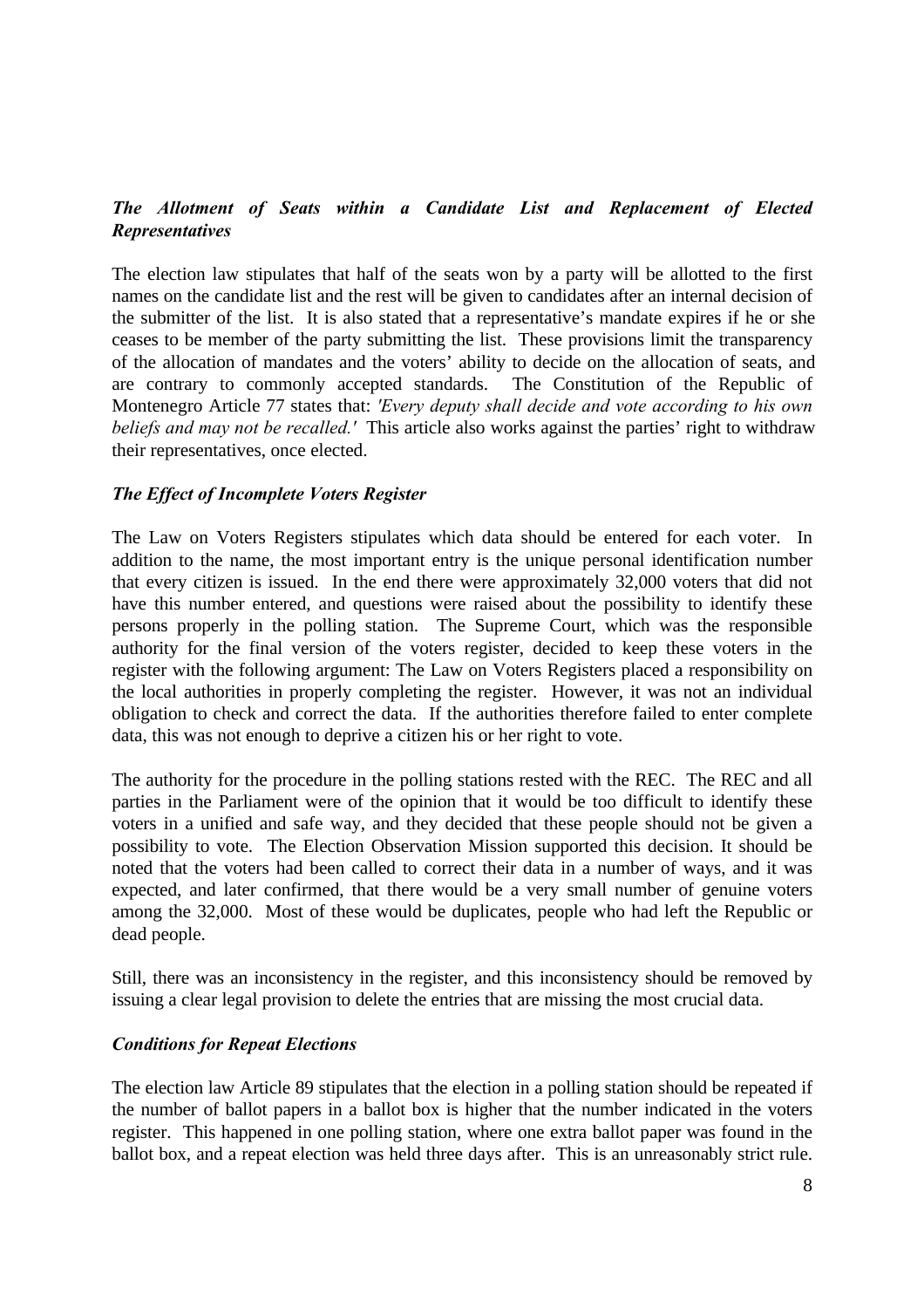## *The Allotment of Seats within a Candidate List and Replacement of Elected Representatives*

The election law stipulates that half of the seats won by a party will be allotted to the first names on the candidate list and the rest will be given to candidates after an internal decision of the submitter of the list. It is also stated that a representative's mandate expires if he or she ceases to be member of the party submitting the list. These provisions limit the transparency of the allocation of mandates and the voters' ability to decide on the allocation of seats, and are contrary to commonly accepted standards. The Constitution of the Republic of Montenegro Article 77 states that: *'Every deputy shall decide and vote according to his own beliefs and may not be recalled.'* This article also works against the parties' right to withdraw their representatives, once elected.

#### *The Effect of Incomplete Voters Register*

The Law on Voters Registers stipulates which data should be entered for each voter. In addition to the name, the most important entry is the unique personal identification number that every citizen is issued. In the end there were approximately 32,000 voters that did not have this number entered, and questions were raised about the possibility to identify these persons properly in the polling station. The Supreme Court, which was the responsible authority for the final version of the voters register, decided to keep these voters in the register with the following argument: The Law on Voters Registers placed a responsibility on the local authorities in properly completing the register. However, it was not an individual obligation to check and correct the data. If the authorities therefore failed to enter complete data, this was not enough to deprive a citizen his or her right to vote.

The authority for the procedure in the polling stations rested with the REC. The REC and all parties in the Parliament were of the opinion that it would be too difficult to identify these voters in a unified and safe way, and they decided that these people should not be given a possibility to vote. The Election Observation Mission supported this decision. It should be noted that the voters had been called to correct their data in a number of ways, and it was expected, and later confirmed, that there would be a very small number of genuine voters among the 32,000. Most of these would be duplicates, people who had left the Republic or dead people.

Still, there was an inconsistency in the register, and this inconsistency should be removed by issuing a clear legal provision to delete the entries that are missing the most crucial data.

#### *Conditions for Repeat Elections*

The election law Article 89 stipulates that the election in a polling station should be repeated if the number of ballot papers in a ballot box is higher that the number indicated in the voters register. This happened in one polling station, where one extra ballot paper was found in the ballot box, and a repeat election was held three days after. This is an unreasonably strict rule.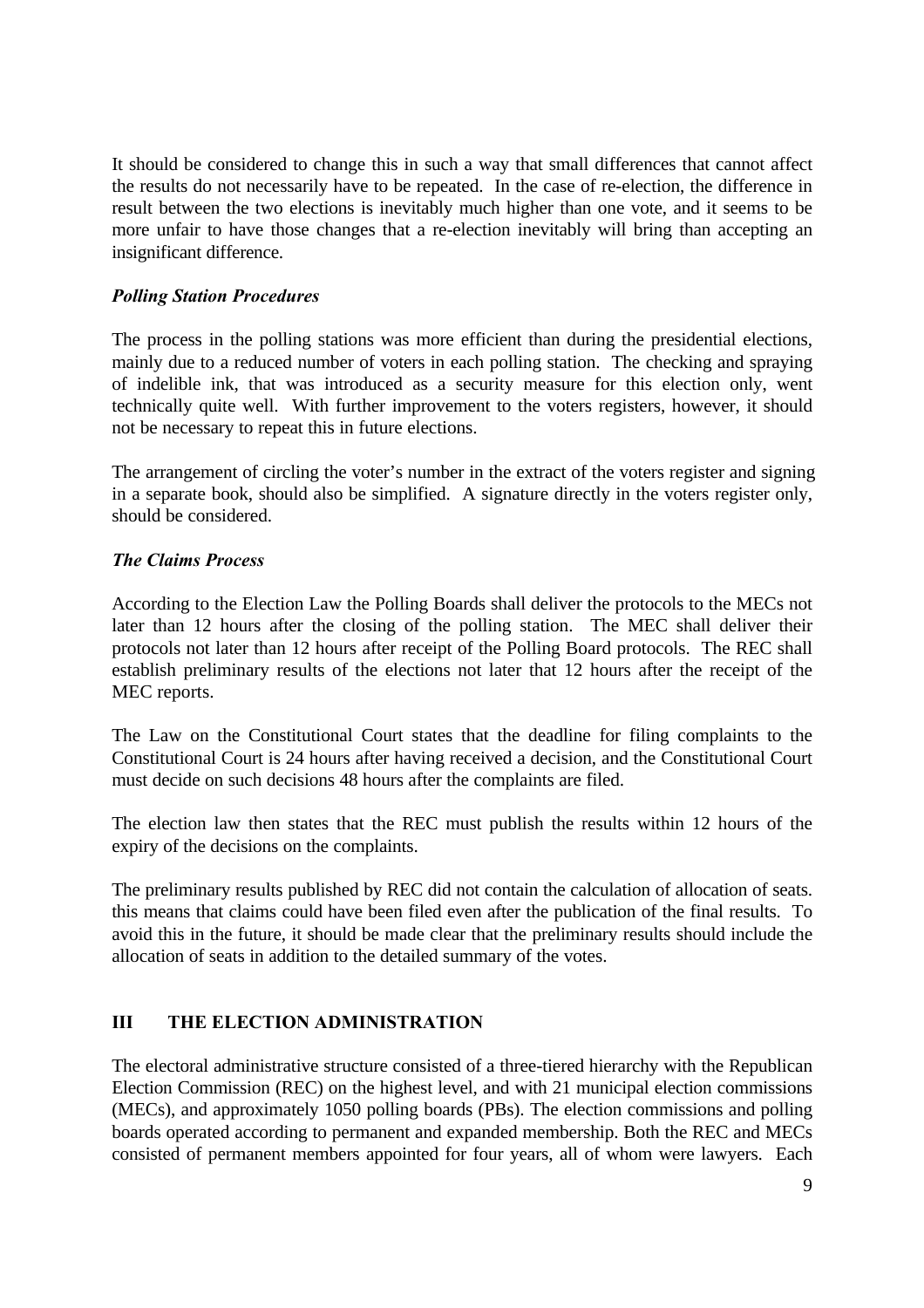It should be considered to change this in such a way that small differences that cannot affect the results do not necessarily have to be repeated. In the case of re-election, the difference in result between the two elections is inevitably much higher than one vote, and it seems to be more unfair to have those changes that a re-election inevitably will bring than accepting an insignificant difference.

## *Polling Station Procedures*

The process in the polling stations was more efficient than during the presidential elections, mainly due to a reduced number of voters in each polling station. The checking and spraying of indelible ink, that was introduced as a security measure for this election only, went technically quite well. With further improvement to the voters registers, however, it should not be necessary to repeat this in future elections.

The arrangement of circling the voter's number in the extract of the voters register and signing in a separate book, should also be simplified. A signature directly in the voters register only, should be considered.

## *The Claims Process*

According to the Election Law the Polling Boards shall deliver the protocols to the MECs not later than 12 hours after the closing of the polling station. The MEC shall deliver their protocols not later than 12 hours after receipt of the Polling Board protocols. The REC shall establish preliminary results of the elections not later that 12 hours after the receipt of the MEC reports.

The Law on the Constitutional Court states that the deadline for filing complaints to the Constitutional Court is 24 hours after having received a decision, and the Constitutional Court must decide on such decisions 48 hours after the complaints are filed.

The election law then states that the REC must publish the results within 12 hours of the expiry of the decisions on the complaints.

The preliminary results published by REC did not contain the calculation of allocation of seats. this means that claims could have been filed even after the publication of the final results. To avoid this in the future, it should be made clear that the preliminary results should include the allocation of seats in addition to the detailed summary of the votes.

# **III THE ELECTION ADMINISTRATION**

The electoral administrative structure consisted of a three-tiered hierarchy with the Republican Election Commission (REC) on the highest level, and with 21 municipal election commissions (MECs), and approximately 1050 polling boards (PBs). The election commissions and polling boards operated according to permanent and expanded membership. Both the REC and MECs consisted of permanent members appointed for four years, all of whom were lawyers. Each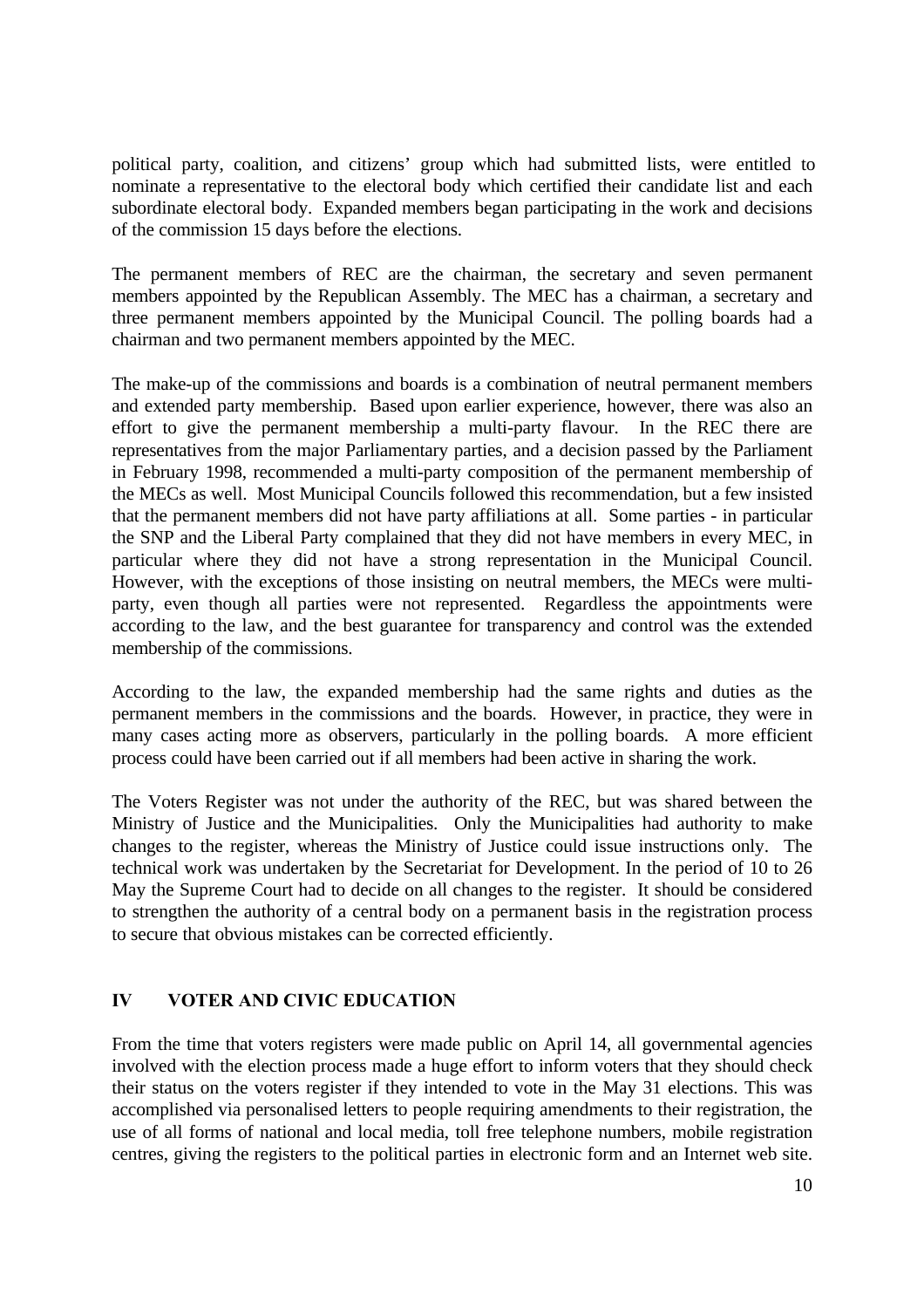political party, coalition, and citizens' group which had submitted lists, were entitled to nominate a representative to the electoral body which certified their candidate list and each subordinate electoral body. Expanded members began participating in the work and decisions of the commission 15 days before the elections.

The permanent members of REC are the chairman, the secretary and seven permanent members appointed by the Republican Assembly. The MEC has a chairman, a secretary and three permanent members appointed by the Municipal Council. The polling boards had a chairman and two permanent members appointed by the MEC.

The make-up of the commissions and boards is a combination of neutral permanent members and extended party membership. Based upon earlier experience, however, there was also an effort to give the permanent membership a multi-party flavour. In the REC there are representatives from the major Parliamentary parties, and a decision passed by the Parliament in February 1998, recommended a multi-party composition of the permanent membership of the MECs as well. Most Municipal Councils followed this recommendation, but a few insisted that the permanent members did not have party affiliations at all. Some parties - in particular the SNP and the Liberal Party complained that they did not have members in every MEC, in particular where they did not have a strong representation in the Municipal Council. However, with the exceptions of those insisting on neutral members, the MECs were multiparty, even though all parties were not represented. Regardless the appointments were according to the law, and the best guarantee for transparency and control was the extended membership of the commissions.

According to the law, the expanded membership had the same rights and duties as the permanent members in the commissions and the boards. However, in practice, they were in many cases acting more as observers, particularly in the polling boards. A more efficient process could have been carried out if all members had been active in sharing the work.

The Voters Register was not under the authority of the REC, but was shared between the Ministry of Justice and the Municipalities. Only the Municipalities had authority to make changes to the register, whereas the Ministry of Justice could issue instructions only. The technical work was undertaken by the Secretariat for Development. In the period of 10 to 26 May the Supreme Court had to decide on all changes to the register. It should be considered to strengthen the authority of a central body on a permanent basis in the registration process to secure that obvious mistakes can be corrected efficiently.

## **IV VOTER AND CIVIC EDUCATION**

From the time that voters registers were made public on April 14, all governmental agencies involved with the election process made a huge effort to inform voters that they should check their status on the voters register if they intended to vote in the May 31 elections. This was accomplished via personalised letters to people requiring amendments to their registration, the use of all forms of national and local media, toll free telephone numbers, mobile registration centres, giving the registers to the political parties in electronic form and an Internet web site.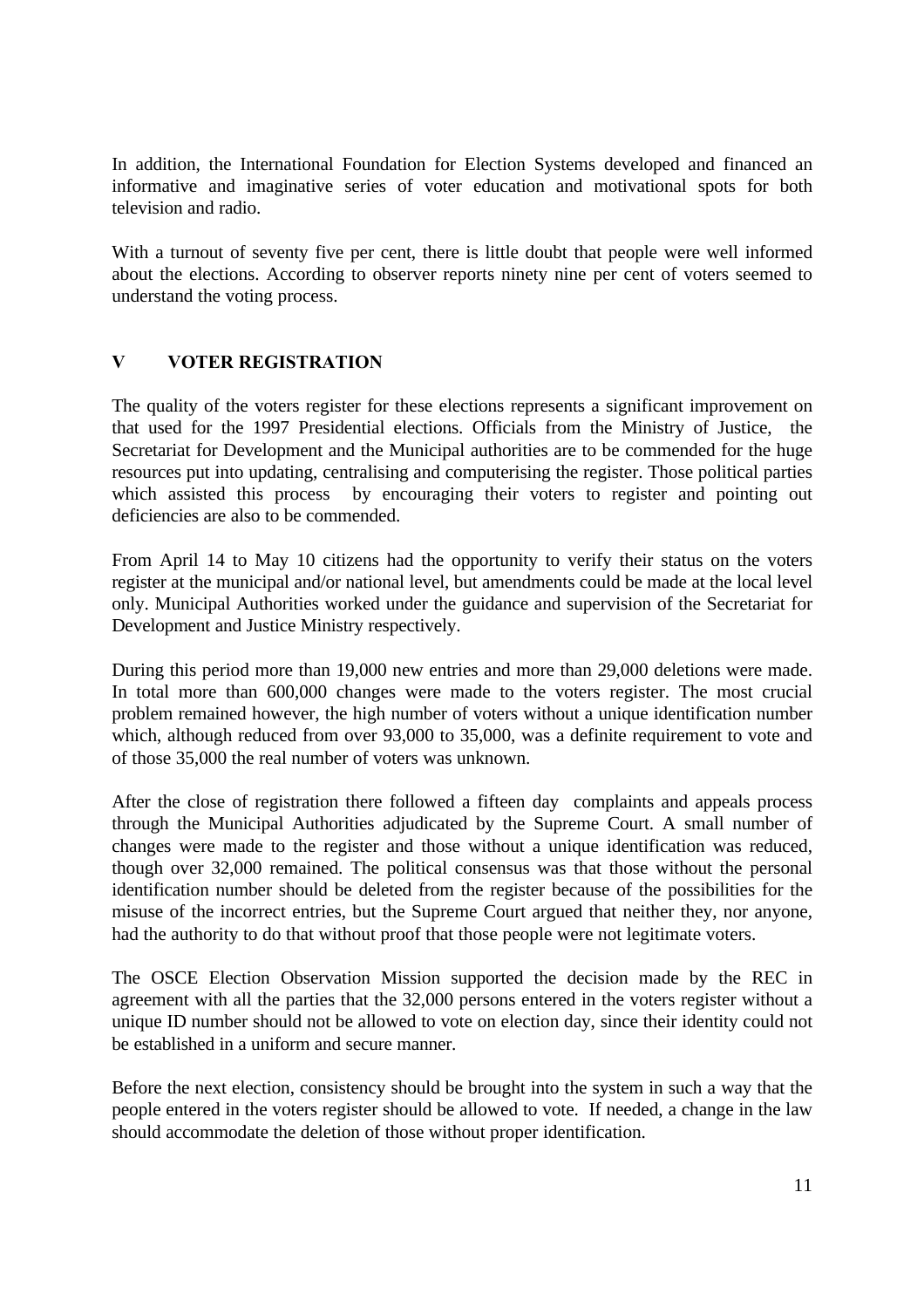In addition, the International Foundation for Election Systems developed and financed an informative and imaginative series of voter education and motivational spots for both television and radio.

With a turnout of seventy five per cent, there is little doubt that people were well informed about the elections. According to observer reports ninety nine per cent of voters seemed to understand the voting process.

## **V VOTER REGISTRATION**

The quality of the voters register for these elections represents a significant improvement on that used for the 1997 Presidential elections. Officials from the Ministry of Justice, the Secretariat for Development and the Municipal authorities are to be commended for the huge resources put into updating, centralising and computerising the register. Those political parties which assisted this process by encouraging their voters to register and pointing out deficiencies are also to be commended.

From April 14 to May 10 citizens had the opportunity to verify their status on the voters register at the municipal and/or national level, but amendments could be made at the local level only. Municipal Authorities worked under the guidance and supervision of the Secretariat for Development and Justice Ministry respectively.

During this period more than 19,000 new entries and more than 29,000 deletions were made. In total more than 600,000 changes were made to the voters register. The most crucial problem remained however, the high number of voters without a unique identification number which, although reduced from over 93,000 to 35,000, was a definite requirement to vote and of those 35,000 the real number of voters was unknown.

After the close of registration there followed a fifteen day complaints and appeals process through the Municipal Authorities adjudicated by the Supreme Court. A small number of changes were made to the register and those without a unique identification was reduced, though over 32,000 remained. The political consensus was that those without the personal identification number should be deleted from the register because of the possibilities for the misuse of the incorrect entries, but the Supreme Court argued that neither they, nor anyone, had the authority to do that without proof that those people were not legitimate voters.

The OSCE Election Observation Mission supported the decision made by the REC in agreement with all the parties that the 32,000 persons entered in the voters register without a unique ID number should not be allowed to vote on election day, since their identity could not be established in a uniform and secure manner.

Before the next election, consistency should be brought into the system in such a way that the people entered in the voters register should be allowed to vote. If needed, a change in the law should accommodate the deletion of those without proper identification.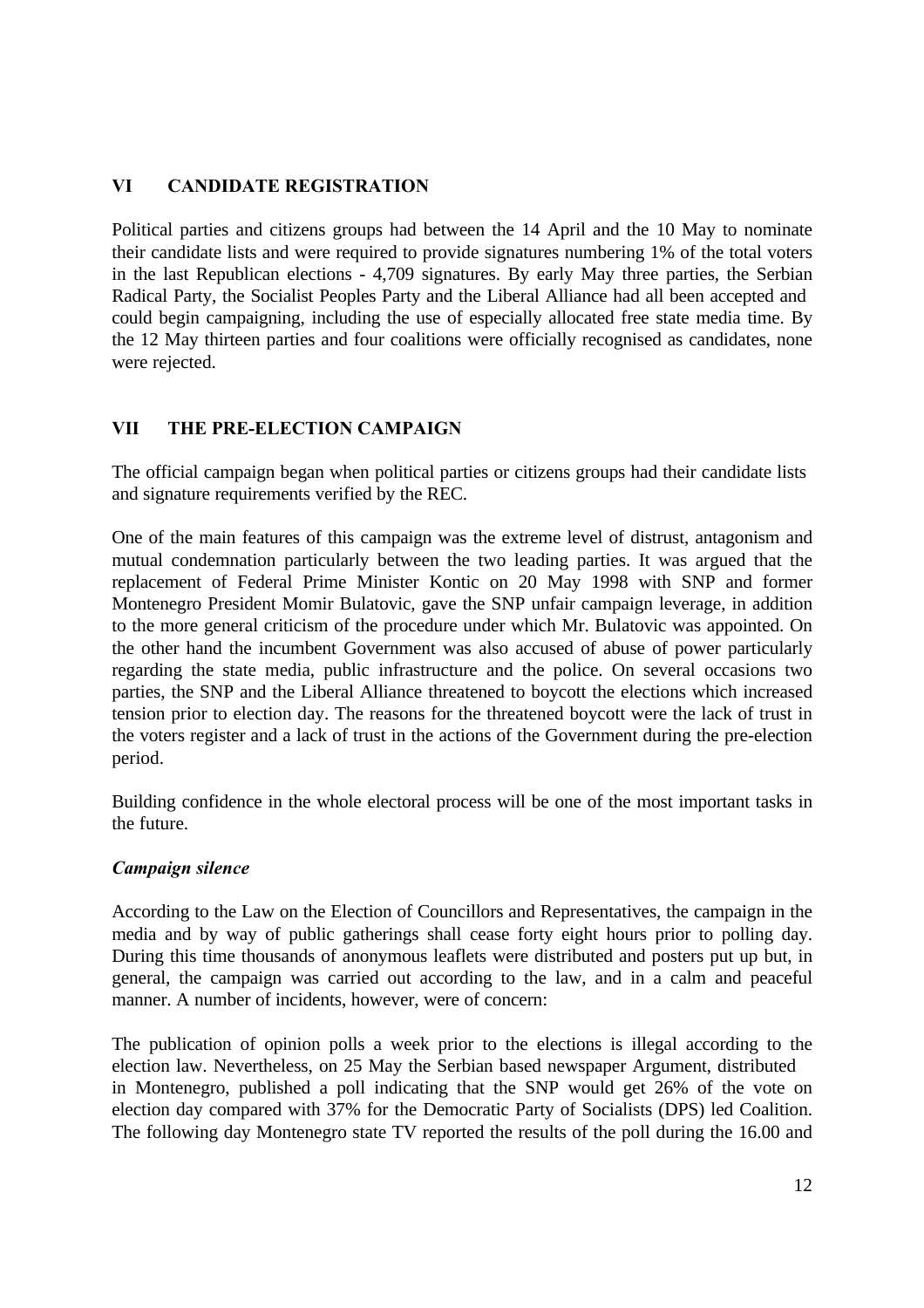## **VI CANDIDATE REGISTRATION**

Political parties and citizens groups had between the 14 April and the 10 May to nominate their candidate lists and were required to provide signatures numbering 1% of the total voters in the last Republican elections - 4,709 signatures. By early May three parties, the Serbian Radical Party, the Socialist Peoples Party and the Liberal Alliance had all been accepted and could begin campaigning, including the use of especially allocated free state media time. By the 12 May thirteen parties and four coalitions were officially recognised as candidates, none were rejected.

## **VII THE PRE-ELECTION CAMPAIGN**

The official campaign began when political parties or citizens groups had their candidate lists and signature requirements verified by the REC.

One of the main features of this campaign was the extreme level of distrust, antagonism and mutual condemnation particularly between the two leading parties. It was argued that the replacement of Federal Prime Minister Kontic on 20 May 1998 with SNP and former Montenegro President Momir Bulatovic, gave the SNP unfair campaign leverage, in addition to the more general criticism of the procedure under which Mr. Bulatovic was appointed. On the other hand the incumbent Government was also accused of abuse of power particularly regarding the state media, public infrastructure and the police. On several occasions two parties, the SNP and the Liberal Alliance threatened to boycott the elections which increased tension prior to election day. The reasons for the threatened boycott were the lack of trust in the voters register and a lack of trust in the actions of the Government during the pre-election period.

Building confidence in the whole electoral process will be one of the most important tasks in the future.

## *Campaign silence*

According to the Law on the Election of Councillors and Representatives, the campaign in the media and by way of public gatherings shall cease forty eight hours prior to polling day. During this time thousands of anonymous leaflets were distributed and posters put up but, in general, the campaign was carried out according to the law, and in a calm and peaceful manner. A number of incidents, however, were of concern:

The publication of opinion polls a week prior to the elections is illegal according to the election law. Nevertheless, on 25 May the Serbian based newspaper Argument, distributed in Montenegro, published a poll indicating that the SNP would get 26% of the vote on election day compared with 37% for the Democratic Party of Socialists (DPS) led Coalition. The following day Montenegro state TV reported the results of the poll during the 16.00 and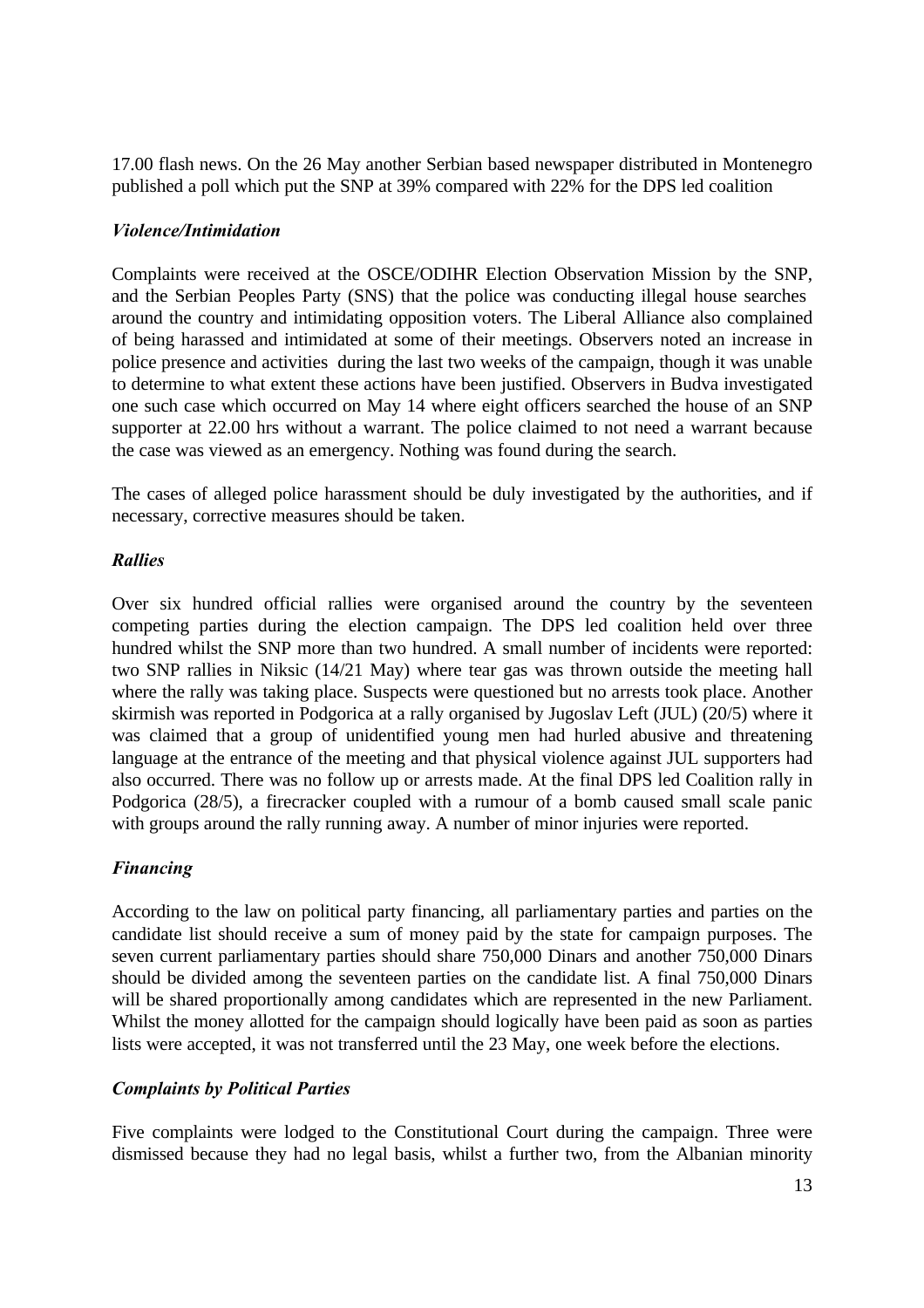17.00 flash news. On the 26 May another Serbian based newspaper distributed in Montenegro published a poll which put the SNP at 39% compared with 22% for the DPS led coalition

## *Violence/Intimidation*

Complaints were received at the OSCE/ODIHR Election Observation Mission by the SNP, and the Serbian Peoples Party (SNS) that the police was conducting illegal house searches around the country and intimidating opposition voters. The Liberal Alliance also complained of being harassed and intimidated at some of their meetings. Observers noted an increase in police presence and activities during the last two weeks of the campaign, though it was unable to determine to what extent these actions have been justified. Observers in Budva investigated one such case which occurred on May 14 where eight officers searched the house of an SNP supporter at 22.00 hrs without a warrant. The police claimed to not need a warrant because the case was viewed as an emergency. Nothing was found during the search.

The cases of alleged police harassment should be duly investigated by the authorities, and if necessary, corrective measures should be taken.

## *Rallies*

Over six hundred official rallies were organised around the country by the seventeen competing parties during the election campaign. The DPS led coalition held over three hundred whilst the SNP more than two hundred. A small number of incidents were reported: two SNP rallies in Niksic (14/21 May) where tear gas was thrown outside the meeting hall where the rally was taking place. Suspects were questioned but no arrests took place. Another skirmish was reported in Podgorica at a rally organised by Jugoslav Left (JUL) (20/5) where it was claimed that a group of unidentified young men had hurled abusive and threatening language at the entrance of the meeting and that physical violence against JUL supporters had also occurred. There was no follow up or arrests made. At the final DPS led Coalition rally in Podgorica (28/5), a firecracker coupled with a rumour of a bomb caused small scale panic with groups around the rally running away. A number of minor injuries were reported.

# *Financing*

According to the law on political party financing, all parliamentary parties and parties on the candidate list should receive a sum of money paid by the state for campaign purposes. The seven current parliamentary parties should share 750,000 Dinars and another 750,000 Dinars should be divided among the seventeen parties on the candidate list. A final 750,000 Dinars will be shared proportionally among candidates which are represented in the new Parliament. Whilst the money allotted for the campaign should logically have been paid as soon as parties lists were accepted, it was not transferred until the 23 May, one week before the elections.

## *Complaints by Political Parties*

Five complaints were lodged to the Constitutional Court during the campaign. Three were dismissed because they had no legal basis, whilst a further two, from the Albanian minority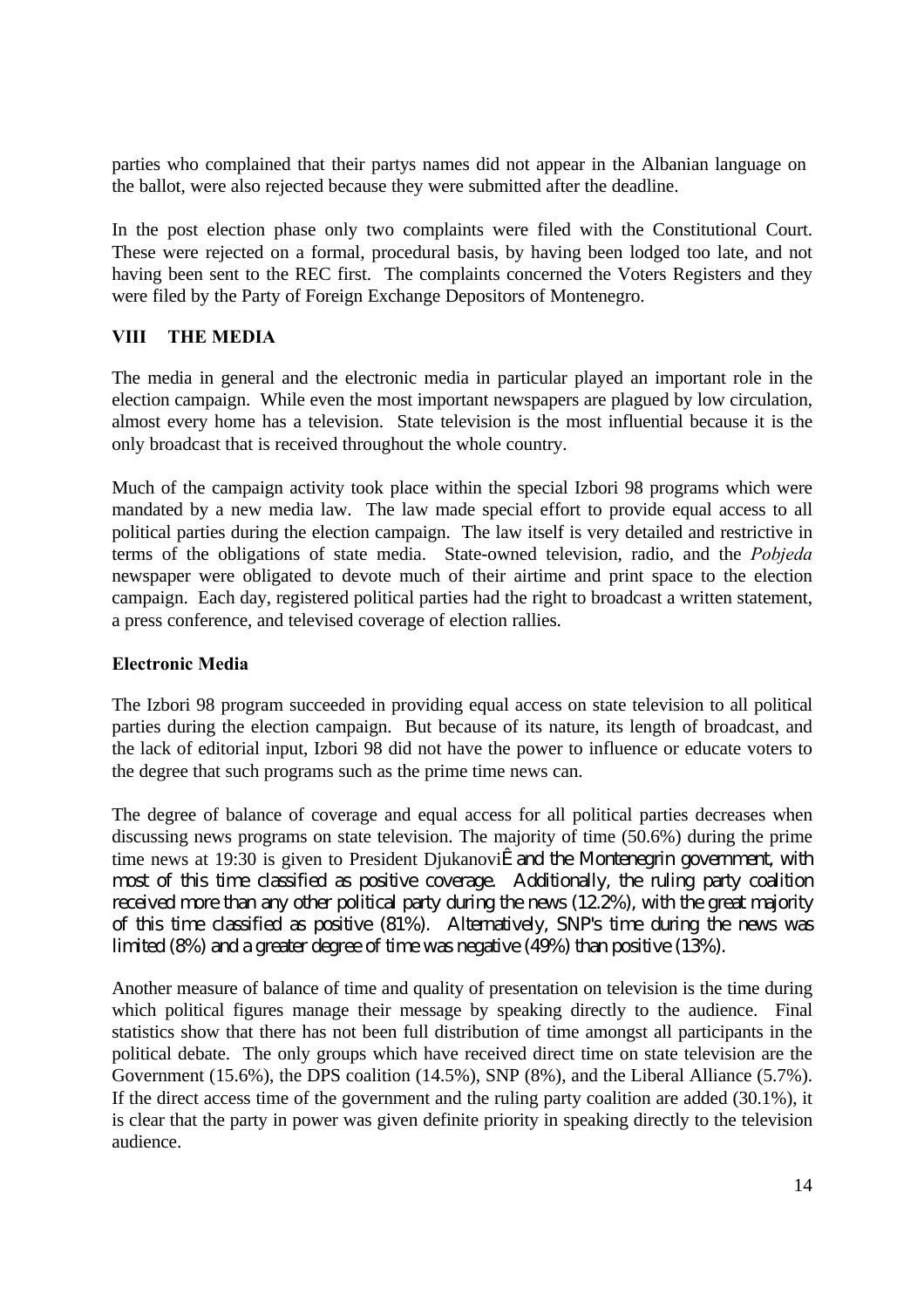parties who complained that their partys names did not appear in the Albanian language on the ballot, were also rejected because they were submitted after the deadline.

In the post election phase only two complaints were filed with the Constitutional Court. These were rejected on a formal, procedural basis, by having been lodged too late, and not having been sent to the REC first. The complaints concerned the Voters Registers and they were filed by the Party of Foreign Exchange Depositors of Montenegro.

## **VIII THE MEDIA**

The media in general and the electronic media in particular played an important role in the election campaign. While even the most important newspapers are plagued by low circulation, almost every home has a television. State television is the most influential because it is the only broadcast that is received throughout the whole country.

Much of the campaign activity took place within the special Izbori 98 programs which were mandated by a new media law. The law made special effort to provide equal access to all political parties during the election campaign. The law itself is very detailed and restrictive in terms of the obligations of state media. State-owned television, radio, and the *Pobjeda* newspaper were obligated to devote much of their airtime and print space to the election campaign. Each day, registered political parties had the right to broadcast a written statement, a press conference, and televised coverage of election rallies.

## **Electronic Media**

The Izbori 98 program succeeded in providing equal access on state television to all political parties during the election campaign. But because of its nature, its length of broadcast, and the lack of editorial input, Izbori 98 did not have the power to influence or educate voters to the degree that such programs such as the prime time news can.

The degree of balance of coverage and equal access for all political parties decreases when discussing news programs on state television. The majority of time (50.6%) during the prime time news at 19:30 is given to President Djukanoviæ and the Montenegrin government, with most of this time classified as positive coverage. Additionally, the ruling party coalition received more than any other political party during the news (12.2%), with the great majority of this time classified as positive (81%). Alternatively, SNP's time during the news was limited (8%) and a greater degree of time was negative (49%) than positive (13%).

Another measure of balance of time and quality of presentation on television is the time during which political figures manage their message by speaking directly to the audience. Final statistics show that there has not been full distribution of time amongst all participants in the political debate. The only groups which have received direct time on state television are the Government (15.6%), the DPS coalition (14.5%), SNP (8%), and the Liberal Alliance (5.7%). If the direct access time of the government and the ruling party coalition are added (30.1%), it is clear that the party in power was given definite priority in speaking directly to the television audience.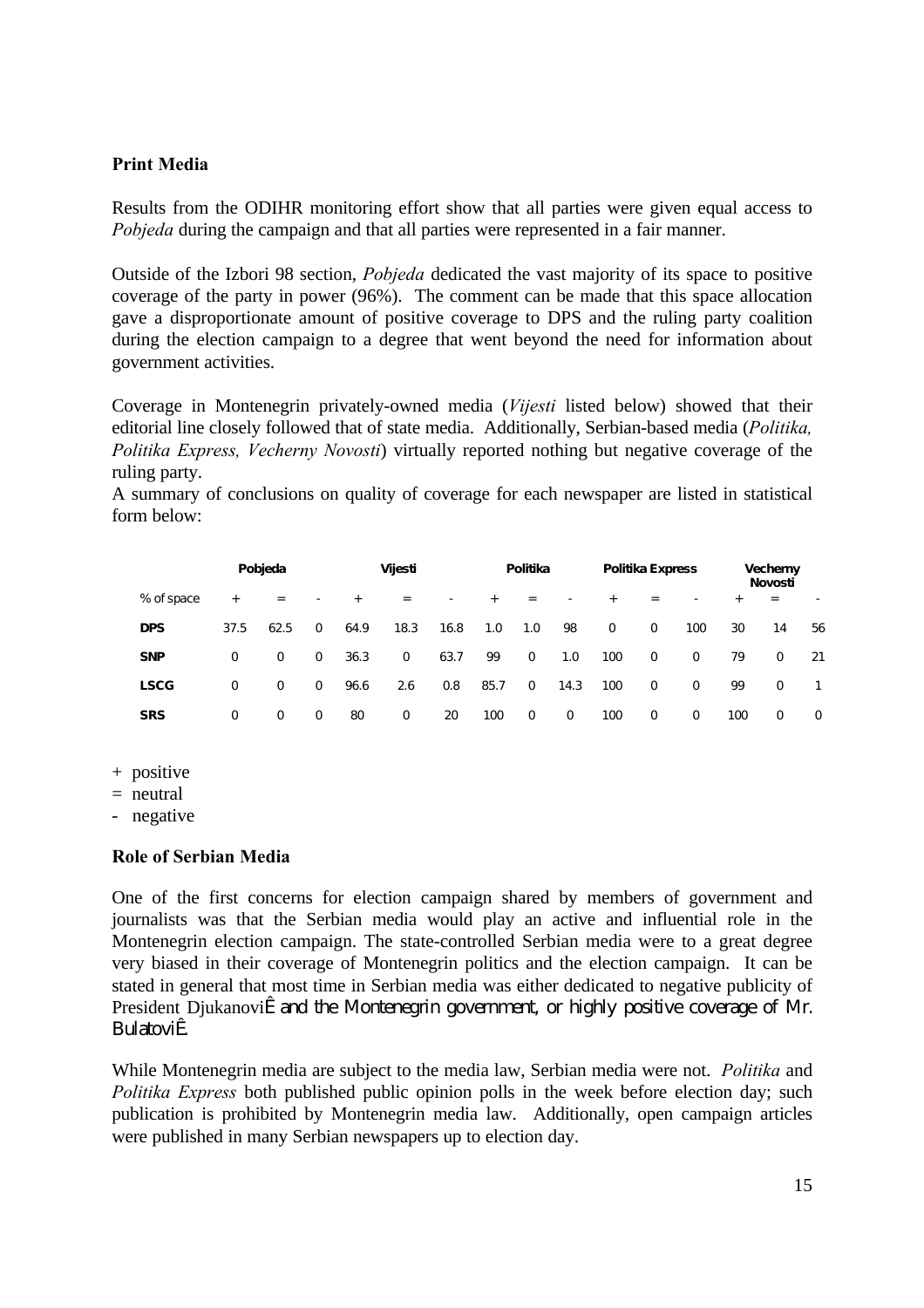#### **Print Media**

Results from the ODIHR monitoring effort show that all parties were given equal access to *Pobjeda* during the campaign and that all parties were represented in a fair manner.

Outside of the Izbori 98 section, *Pobjeda* dedicated the vast majority of its space to positive coverage of the party in power (96%). The comment can be made that this space allocation gave a disproportionate amount of positive coverage to DPS and the ruling party coalition during the election campaign to a degree that went beyond the need for information about government activities.

Coverage in Montenegrin privately-owned media (*Vijesti* listed below) showed that their editorial line closely followed that of state media. Additionally, Serbian-based media (*Politika, Politika Express, Vecherny Novosti*) virtually reported nothing but negative coverage of the ruling party.

A summary of conclusions on quality of coverage for each newspaper are listed in statistical form below:

|             | Pobjeda  |             |             | Vijesti |             |                          | Politika |             |                          | Politika Express |             |             | <b>Vecherny</b><br>Novosti |          |              |
|-------------|----------|-------------|-------------|---------|-------------|--------------------------|----------|-------------|--------------------------|------------------|-------------|-------------|----------------------------|----------|--------------|
| % of space  | $+$      | $=$         | ٠           | $+$     | $=$         | $\overline{\phantom{a}}$ | $+$      | $=$         | $\overline{\phantom{a}}$ | $+$              | $=$         | ۰           | $+$                        | $=$      | ٠            |
| <b>DPS</b>  | 37.5     | 62.5        | $\mathbf 0$ | 64.9    | 18.3        | 16.8                     | 1.0      | 1.0         | 98                       | $\mathbf 0$      | 0           | 100         | 30                         | 14       | 56           |
| <b>SNP</b>  | $\Omega$ | $\mathbf 0$ | 0           | 36.3    | $\mathbf 0$ | 63.7                     | 99       | $\mathbf 0$ | 1.0                      | 100              | $\mathbf 0$ | $\Omega$    | 79                         | $\Omega$ | 21           |
| <b>LSCG</b> | $\Omega$ | 0           | 0           | 96.6    | 2.6         | 0.8                      | 85.7     | $\mathbf 0$ | 14.3                     | 100              | $\mathbf 0$ | $\mathbf 0$ | 99                         | $\Omega$ | $\mathbf{1}$ |
| <b>SRS</b>  | 0        | $\mathbf 0$ | 0           | 80      | $\mathbf 0$ | 20                       | 100      | 0           | $\mathbf 0$              | 100              | $\mathbf 0$ | 0           | 100                        | 0        | 0            |

- + positive
- $=$  neutral

- negative

#### **Role of Serbian Media**

One of the first concerns for election campaign shared by members of government and journalists was that the Serbian media would play an active and influential role in the Montenegrin election campaign. The state-controlled Serbian media were to a great degree very biased in their coverage of Montenegrin politics and the election campaign. It can be stated in general that most time in Serbian media was either dedicated to negative publicity of President Djukanoviæ and the Montenegrin government, or highly positive coverage of Mr. Bulatoviæ.

While Montenegrin media are subject to the media law, Serbian media were not. *Politika* and *Politika Express* both published public opinion polls in the week before election day; such publication is prohibited by Montenegrin media law. Additionally, open campaign articles were published in many Serbian newspapers up to election day.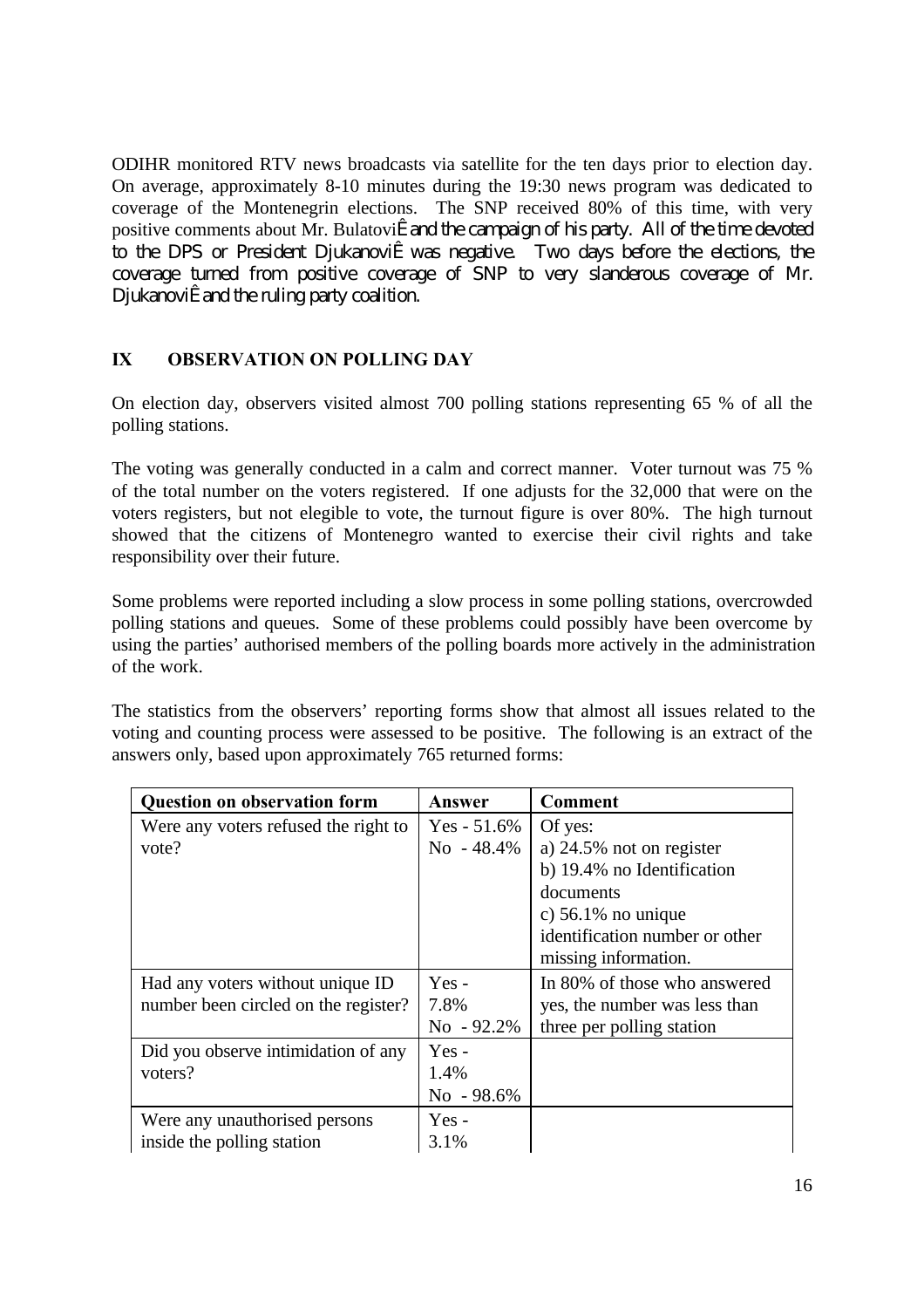ODIHR monitored RTV news broadcasts via satellite for the ten days prior to election day. On average, approximately 8-10 minutes during the 19:30 news program was dedicated to coverage of the Montenegrin elections. The SNP received 80% of this time, with very positive comments about Mr. Bulatoviæ and the campaign of his party. All of the time devoted to the DPS or President Djukanoviæ was negative. Two days before the elections, the coverage turned from positive coverage of SNP to very slanderous coverage of Mr. Djukanoviæ and the ruling party coalition.

## **IX OBSERVATION ON POLLING DAY**

On election day, observers visited almost 700 polling stations representing 65 % of all the polling stations.

The voting was generally conducted in a calm and correct manner. Voter turnout was 75 % of the total number on the voters registered. If one adjusts for the 32,000 that were on the voters registers, but not elegible to vote, the turnout figure is over 80%. The high turnout showed that the citizens of Montenegro wanted to exercise their civil rights and take responsibility over their future.

Some problems were reported including a slow process in some polling stations, overcrowded polling stations and queues. Some of these problems could possibly have been overcome by using the parties' authorised members of the polling boards more actively in the administration of the work.

The statistics from the observers' reporting forms show that almost all issues related to the voting and counting process were assessed to be positive. The following is an extract of the answers only, based upon approximately 765 returned forms:

| <b>Question on observation form</b>  | Answer         | <b>Comment</b>                 |
|--------------------------------------|----------------|--------------------------------|
| Were any voters refused the right to | $Yes - 51.6\%$ | Of yes:                        |
| vote?                                | $No - 48.4\%$  | a) 24.5% not on register       |
|                                      |                | b) 19.4% no Identification     |
|                                      |                | documents                      |
|                                      |                | c) $56.1\%$ no unique          |
|                                      |                | identification number or other |
|                                      |                | missing information.           |
| Had any voters without unique ID     | $Yes -$        | In 80% of those who answered   |
| number been circled on the register? | 7.8%           | yes, the number was less than  |
|                                      | $No - 92.2\%$  | three per polling station      |
| Did you observe intimidation of any  | Yes-           |                                |
| voters?                              | 1.4%           |                                |
|                                      | No - 98.6%     |                                |
| Were any unauthorised persons        | $Yes -$        |                                |
| inside the polling station           | 3.1%           |                                |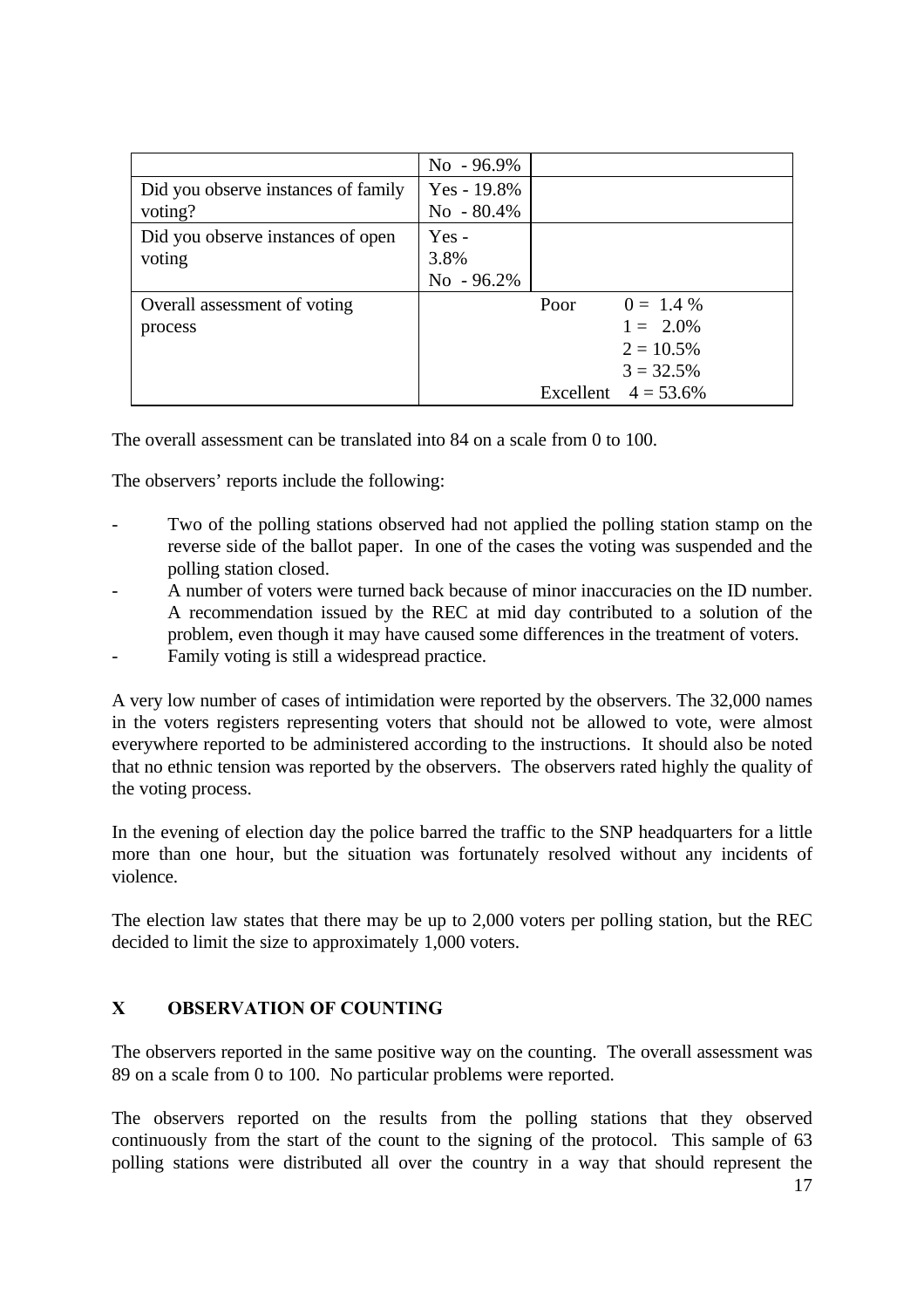|                                     | $No - 96.9\%$  |      |                        |
|-------------------------------------|----------------|------|------------------------|
| Did you observe instances of family | $Yes - 19.8\%$ |      |                        |
| voting?                             | $No - 80.4\%$  |      |                        |
| Did you observe instances of open   | $Yes -$        |      |                        |
| voting                              | 3.8%           |      |                        |
|                                     | $No - 96.2\%$  |      |                        |
| Overall assessment of voting        |                | Poor | $0 = 1.4 \%$           |
| process                             |                |      | $1 = 2.0\%$            |
|                                     |                |      | $2 = 10.5\%$           |
|                                     |                |      | $3 = 32.5%$            |
|                                     |                |      | Excellent $4 = 53.6\%$ |

The overall assessment can be translated into 84 on a scale from 0 to 100.

The observers' reports include the following:

- Two of the polling stations observed had not applied the polling station stamp on the reverse side of the ballot paper. In one of the cases the voting was suspended and the polling station closed.
- A number of voters were turned back because of minor inaccuracies on the ID number. A recommendation issued by the REC at mid day contributed to a solution of the problem, even though it may have caused some differences in the treatment of voters.
- Family voting is still a widespread practice.

A very low number of cases of intimidation were reported by the observers. The 32,000 names in the voters registers representing voters that should not be allowed to vote, were almost everywhere reported to be administered according to the instructions. It should also be noted that no ethnic tension was reported by the observers. The observers rated highly the quality of the voting process.

In the evening of election day the police barred the traffic to the SNP headquarters for a little more than one hour, but the situation was fortunately resolved without any incidents of violence.

The election law states that there may be up to 2,000 voters per polling station, but the REC decided to limit the size to approximately 1,000 voters.

# **X OBSERVATION OF COUNTING**

The observers reported in the same positive way on the counting. The overall assessment was 89 on a scale from 0 to 100. No particular problems were reported.

The observers reported on the results from the polling stations that they observed continuously from the start of the count to the signing of the protocol. This sample of 63 polling stations were distributed all over the country in a way that should represent the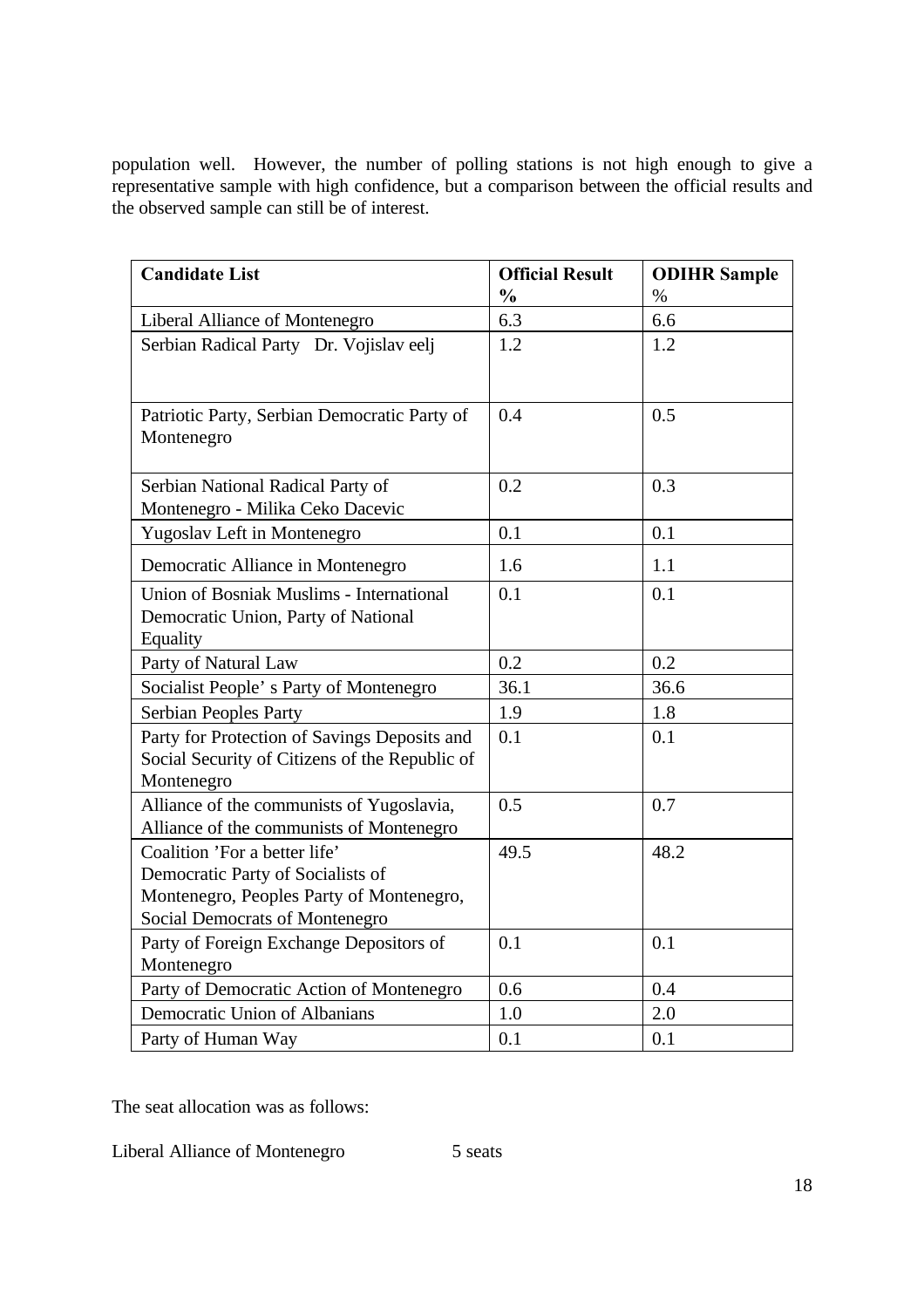population well. However, the number of polling stations is not high enough to give a representative sample with high confidence, but a comparison between the official results and the observed sample can still be of interest.

| <b>Candidate List</b>                                                                                                                             | <b>Official Result</b> | <b>ODIHR Sample</b> |
|---------------------------------------------------------------------------------------------------------------------------------------------------|------------------------|---------------------|
|                                                                                                                                                   | $\frac{0}{0}$          | $\%$                |
| Liberal Alliance of Montenegro                                                                                                                    | 6.3                    | 6.6                 |
| Serbian Radical Party Dr. Vojislav e elj                                                                                                          | 1.2                    | 1.2                 |
| Patriotic Party, Serbian Democratic Party of<br>Montenegro                                                                                        | 0.4                    | 0.5                 |
| Serbian National Radical Party of<br>Montenegro - Milika Ceko Dacevic                                                                             | 0.2                    | 0.3                 |
| Yugoslav Left in Montenegro                                                                                                                       | 0.1                    | 0.1                 |
| Democratic Alliance in Montenegro                                                                                                                 | 1.6                    | 1.1                 |
| Union of Bosniak Muslims - International<br>Democratic Union, Party of National<br>Equality                                                       | 0.1                    | 0.1                 |
| Party of Natural Law                                                                                                                              | 0.2                    | 0.2                 |
| Socialist People's Party of Montenegro                                                                                                            | 36.1                   | 36.6                |
| Serbian People s Party                                                                                                                            | 1.9                    | 1.8                 |
| Party for Protection of Savings Deposits and<br>Social Security of Citizens of the Republic of<br>Montenegro                                      | 0.1                    | 0.1                 |
| Alliance of the communists of Yugoslavia,<br>Alliance of the communists of Montenegro                                                             | 0.5                    | 0.7                 |
| Coalition 'For a better life'<br>Democratic Party of Socialists of<br>Montenegro, People s Party of Montenegro,<br>Social Democrats of Montenegro | 49.5                   | 48.2                |
| Party of Foreign Exchange Depositors of<br>Montenegro                                                                                             | 0.1                    | 0.1                 |
| Party of Democratic Action of Montenegro                                                                                                          | 0.6                    | 0.4                 |
| Democratic Union of Albanians                                                                                                                     | 1.0                    | 2.0                 |
| Party of Human Way                                                                                                                                | 0.1                    | 0.1                 |

The seat allocation was as follows:

Liberal Alliance of Montenegro 5 seats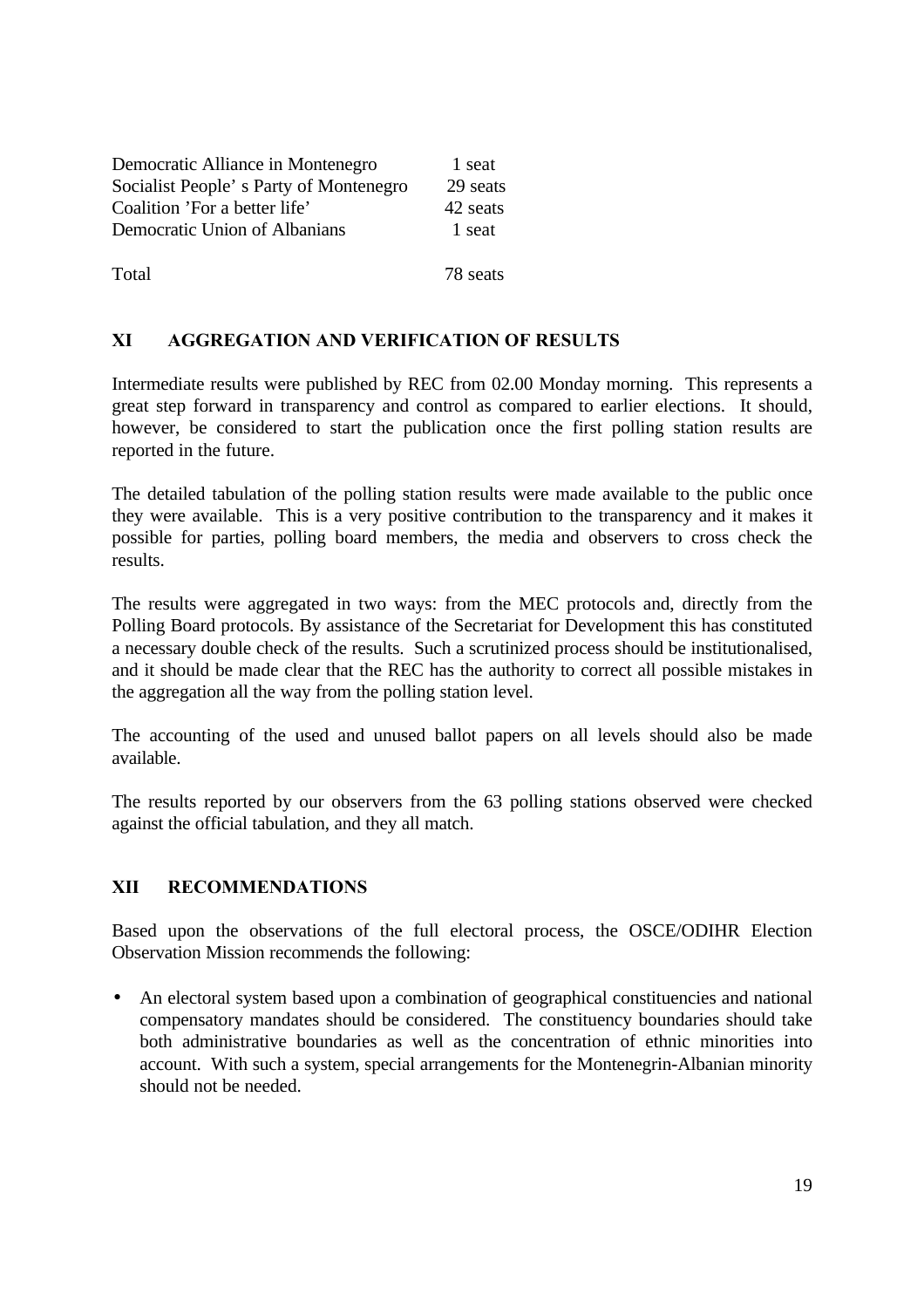| Democratic Alliance in Montenegro      | 1 seat   |
|----------------------------------------|----------|
| Socialist People's Party of Montenegro | 29 seats |
| Coalition 'For a better life'          | 42 seats |
| Democratic Union of Albanians          | 1 seat   |
|                                        |          |
| Total                                  | 78 seats |

## **XI AGGREGATION AND VERIFICATION OF RESULTS**

Intermediate results were published by REC from 02.00 Monday morning. This represents a great step forward in transparency and control as compared to earlier elections. It should, however, be considered to start the publication once the first polling station results are reported in the future.

The detailed tabulation of the polling station results were made available to the public once they were available. This is a very positive contribution to the transparency and it makes it possible for parties, polling board members, the media and observers to cross check the results.

The results were aggregated in two ways: from the MEC protocols and, directly from the Polling Board protocols. By assistance of the Secretariat for Development this has constituted a necessary double check of the results. Such a scrutinized process should be institutionalised, and it should be made clear that the REC has the authority to correct all possible mistakes in the aggregation all the way from the polling station level.

The accounting of the used and unused ballot papers on all levels should also be made available.

The results reported by our observers from the 63 polling stations observed were checked against the official tabulation, and they all match.

## **XII RECOMMENDATIONS**

Based upon the observations of the full electoral process, the OSCE/ODIHR Election Observation Mission recommends the following:

• An electoral system based upon a combination of geographical constituencies and national compensatory mandates should be considered. The constituency boundaries should take both administrative boundaries as well as the concentration of ethnic minorities into account. With such a system, special arrangements for the Montenegrin-Albanian minority should not be needed.